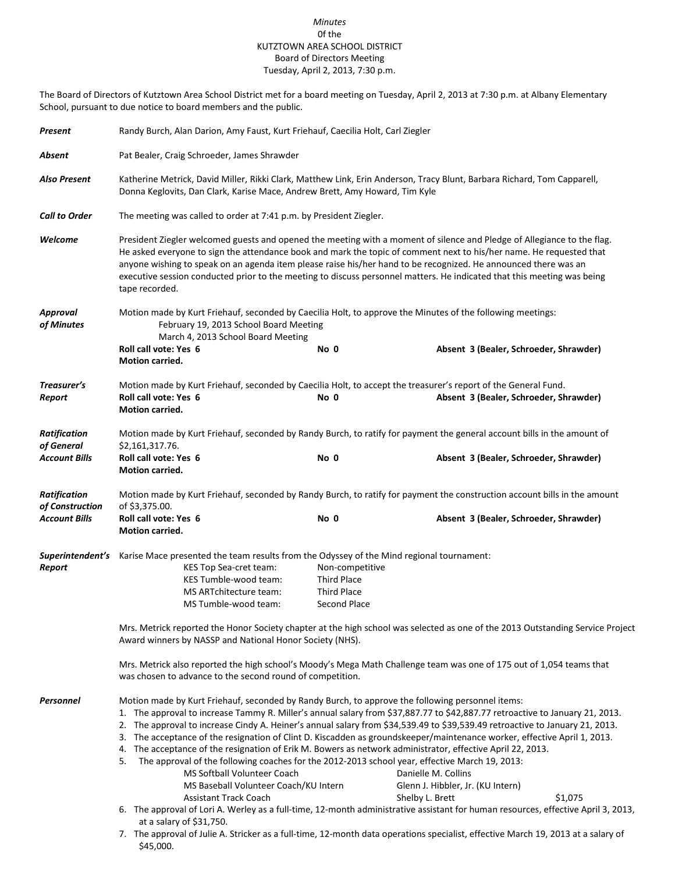## *Minutes* 0f the KUTZTOWN AREA SCHOOL DISTRICT Board of Directors Meeting Tuesday, April 2, 2013, 7:30 p.m.

The Board of Directors of Kutztown Area School District met for a board meeting on Tuesday, April 2, 2013 at 7:30 p.m. at Albany Elementary School, pursuant to due notice to board members and the public.

| Present                                | Randy Burch, Alan Darion, Amy Faust, Kurt Friehauf, Caecilia Holt, Carl Ziegler                                                                                                                                                                                                                                                                                                                                                                                                                                                                                                                                                                                                                                                                                                                                                                                                                                                                                                                                                                                                                                                                                                                                                            |                                                                                                                           |                                        |  |  |  |  |
|----------------------------------------|--------------------------------------------------------------------------------------------------------------------------------------------------------------------------------------------------------------------------------------------------------------------------------------------------------------------------------------------------------------------------------------------------------------------------------------------------------------------------------------------------------------------------------------------------------------------------------------------------------------------------------------------------------------------------------------------------------------------------------------------------------------------------------------------------------------------------------------------------------------------------------------------------------------------------------------------------------------------------------------------------------------------------------------------------------------------------------------------------------------------------------------------------------------------------------------------------------------------------------------------|---------------------------------------------------------------------------------------------------------------------------|----------------------------------------|--|--|--|--|
| Absent                                 | Pat Bealer, Craig Schroeder, James Shrawder                                                                                                                                                                                                                                                                                                                                                                                                                                                                                                                                                                                                                                                                                                                                                                                                                                                                                                                                                                                                                                                                                                                                                                                                |                                                                                                                           |                                        |  |  |  |  |
| <b>Also Present</b>                    | Katherine Metrick, David Miller, Rikki Clark, Matthew Link, Erin Anderson, Tracy Blunt, Barbara Richard, Tom Capparell,<br>Donna Keglovits, Dan Clark, Karise Mace, Andrew Brett, Amy Howard, Tim Kyle                                                                                                                                                                                                                                                                                                                                                                                                                                                                                                                                                                                                                                                                                                                                                                                                                                                                                                                                                                                                                                     |                                                                                                                           |                                        |  |  |  |  |
| <b>Call to Order</b>                   | The meeting was called to order at 7:41 p.m. by President Ziegler.                                                                                                                                                                                                                                                                                                                                                                                                                                                                                                                                                                                                                                                                                                                                                                                                                                                                                                                                                                                                                                                                                                                                                                         |                                                                                                                           |                                        |  |  |  |  |
| Welcome                                | President Ziegler welcomed guests and opened the meeting with a moment of silence and Pledge of Allegiance to the flag.<br>He asked everyone to sign the attendance book and mark the topic of comment next to his/her name. He requested that<br>anyone wishing to speak on an agenda item please raise his/her hand to be recognized. He announced there was an<br>executive session conducted prior to the meeting to discuss personnel matters. He indicated that this meeting was being<br>tape recorded.                                                                                                                                                                                                                                                                                                                                                                                                                                                                                                                                                                                                                                                                                                                             |                                                                                                                           |                                        |  |  |  |  |
| <b>Approval</b><br>of Minutes          | Motion made by Kurt Friehauf, seconded by Caecilia Holt, to approve the Minutes of the following meetings:<br>February 19, 2013 School Board Meeting<br>March 4, 2013 School Board Meeting                                                                                                                                                                                                                                                                                                                                                                                                                                                                                                                                                                                                                                                                                                                                                                                                                                                                                                                                                                                                                                                 |                                                                                                                           |                                        |  |  |  |  |
|                                        | Roll call vote: Yes 6<br>Motion carried.                                                                                                                                                                                                                                                                                                                                                                                                                                                                                                                                                                                                                                                                                                                                                                                                                                                                                                                                                                                                                                                                                                                                                                                                   | No 0                                                                                                                      | Absent 3 (Bealer, Schroeder, Shrawder) |  |  |  |  |
| Treasurer's<br>Report                  | Motion made by Kurt Friehauf, seconded by Caecilia Holt, to accept the treasurer's report of the General Fund.<br>Roll call vote: Yes 6<br>Motion carried.                                                                                                                                                                                                                                                                                                                                                                                                                                                                                                                                                                                                                                                                                                                                                                                                                                                                                                                                                                                                                                                                                 | No 0                                                                                                                      | Absent 3 (Bealer, Schroeder, Shrawder) |  |  |  |  |
| <b>Ratification</b><br>of General      | \$2,161,317.76.                                                                                                                                                                                                                                                                                                                                                                                                                                                                                                                                                                                                                                                                                                                                                                                                                                                                                                                                                                                                                                                                                                                                                                                                                            | Motion made by Kurt Friehauf, seconded by Randy Burch, to ratify for payment the general account bills in the amount of   |                                        |  |  |  |  |
| <b>Account Bills</b>                   | Roll call vote: Yes 6<br>Motion carried.                                                                                                                                                                                                                                                                                                                                                                                                                                                                                                                                                                                                                                                                                                                                                                                                                                                                                                                                                                                                                                                                                                                                                                                                   | No 0                                                                                                                      | Absent 3 (Bealer, Schroeder, Shrawder) |  |  |  |  |
| <b>Ratification</b><br>of Construction | of \$3,375.00.                                                                                                                                                                                                                                                                                                                                                                                                                                                                                                                                                                                                                                                                                                                                                                                                                                                                                                                                                                                                                                                                                                                                                                                                                             | Motion made by Kurt Friehauf, seconded by Randy Burch, to ratify for payment the construction account bills in the amount |                                        |  |  |  |  |
| <b>Account Bills</b>                   | Roll call vote: Yes 6<br><b>Motion carried.</b>                                                                                                                                                                                                                                                                                                                                                                                                                                                                                                                                                                                                                                                                                                                                                                                                                                                                                                                                                                                                                                                                                                                                                                                            | No 0                                                                                                                      | Absent 3 (Bealer, Schroeder, Shrawder) |  |  |  |  |
| Report                                 | Superintendent's Karise Mace presented the team results from the Odyssey of the Mind regional tournament:<br>KES Top Sea-cret team:<br>KES Tumble-wood team:<br>MS ARTchitecture team:<br>MS Tumble-wood team:                                                                                                                                                                                                                                                                                                                                                                                                                                                                                                                                                                                                                                                                                                                                                                                                                                                                                                                                                                                                                             | Non-competitive<br>Third Place<br><b>Third Place</b><br>Second Place                                                      |                                        |  |  |  |  |
|                                        | Mrs. Metrick reported the Honor Society chapter at the high school was selected as one of the 2013 Outstanding Service Project<br>Award winners by NASSP and National Honor Society (NHS).                                                                                                                                                                                                                                                                                                                                                                                                                                                                                                                                                                                                                                                                                                                                                                                                                                                                                                                                                                                                                                                 |                                                                                                                           |                                        |  |  |  |  |
|                                        | Mrs. Metrick also reported the high school's Moody's Mega Math Challenge team was one of 175 out of 1,054 teams that<br>was chosen to advance to the second round of competition.                                                                                                                                                                                                                                                                                                                                                                                                                                                                                                                                                                                                                                                                                                                                                                                                                                                                                                                                                                                                                                                          |                                                                                                                           |                                        |  |  |  |  |
| Personnel                              | Motion made by Kurt Friehauf, seconded by Randy Burch, to approve the following personnel items:<br>1. The approval to increase Tammy R. Miller's annual salary from \$37,887.77 to \$42,887.77 retroactive to January 21, 2013.<br>2. The approval to increase Cindy A. Heiner's annual salary from \$34,539.49 to \$39,539.49 retroactive to January 21, 2013.<br>3. The acceptance of the resignation of Clint D. Kiscadden as groundskeeper/maintenance worker, effective April 1, 2013.<br>The acceptance of the resignation of Erik M. Bowers as network administrator, effective April 22, 2013.<br>4.<br>The approval of the following coaches for the 2012-2013 school year, effective March 19, 2013:<br>5.<br>MS Softball Volunteer Coach<br>Danielle M. Collins<br>MS Baseball Volunteer Coach/KU Intern<br>Glenn J. Hibbler, Jr. (KU Intern)<br><b>Assistant Track Coach</b><br>Shelby L. Brett<br>\$1,075<br>6. The approval of Lori A. Werley as a full-time, 12-month administrative assistant for human resources, effective April 3, 2013,<br>at a salary of \$31,750.<br>7. The approval of Julie A. Stricker as a full-time, 12-month data operations specialist, effective March 19, 2013 at a salary of<br>\$45,000. |                                                                                                                           |                                        |  |  |  |  |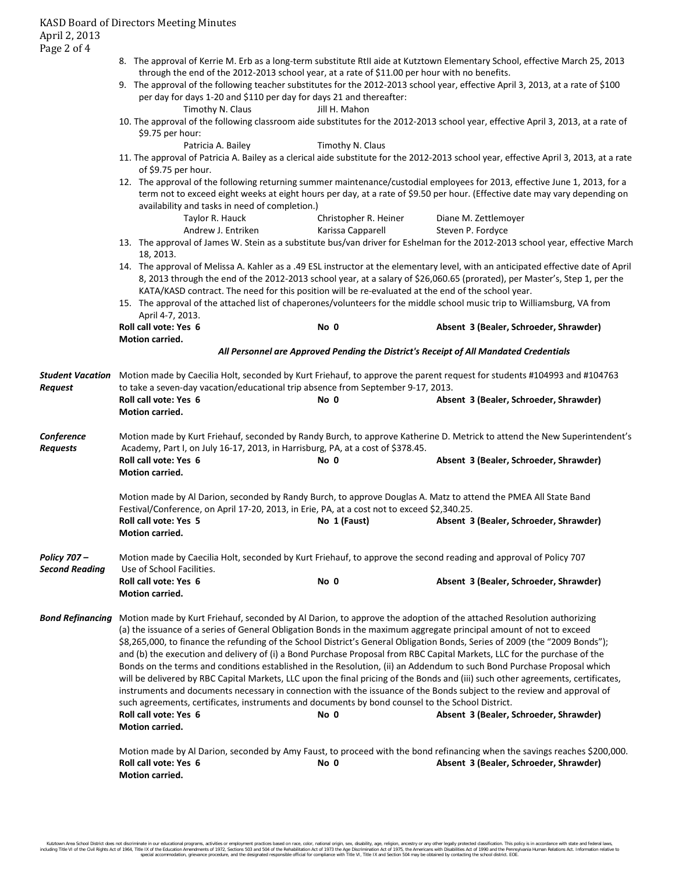- 8. The approval of Kerrie M. Erb as a long-term substitute RtII aide at Kutztown Elementary School, effective March 25, 2013 through the end of the 2012-2013 school year, at a rate of \$11.00 per hour with no benefits.
- 9. The approval of the following teacher substitutes for the 2012-2013 school year, effective April 3, 2013, at a rate of \$100 per day for days 1-20 and \$110 per day for days 21 and thereafter:

|                                | Timothy N. Claus                                                                                                                                                                                                                                                                                                                                                                                                                                                                                                                                                                                                                                                                                                                                                                                                                                                                                                                                                                                                                                                                                | Jill H. Mahon                                                                                      | 10. The approval of the following classroom aide substitutes for the 2012-2013 school year, effective April 3, 2013, at a rate of                                                                                                                                |  |  |  |  |
|--------------------------------|-------------------------------------------------------------------------------------------------------------------------------------------------------------------------------------------------------------------------------------------------------------------------------------------------------------------------------------------------------------------------------------------------------------------------------------------------------------------------------------------------------------------------------------------------------------------------------------------------------------------------------------------------------------------------------------------------------------------------------------------------------------------------------------------------------------------------------------------------------------------------------------------------------------------------------------------------------------------------------------------------------------------------------------------------------------------------------------------------|----------------------------------------------------------------------------------------------------|------------------------------------------------------------------------------------------------------------------------------------------------------------------------------------------------------------------------------------------------------------------|--|--|--|--|
|                                | \$9.75 per hour:                                                                                                                                                                                                                                                                                                                                                                                                                                                                                                                                                                                                                                                                                                                                                                                                                                                                                                                                                                                                                                                                                |                                                                                                    |                                                                                                                                                                                                                                                                  |  |  |  |  |
|                                | Patricia A. Bailey                                                                                                                                                                                                                                                                                                                                                                                                                                                                                                                                                                                                                                                                                                                                                                                                                                                                                                                                                                                                                                                                              | Timothy N. Claus                                                                                   |                                                                                                                                                                                                                                                                  |  |  |  |  |
|                                | of \$9.75 per hour.                                                                                                                                                                                                                                                                                                                                                                                                                                                                                                                                                                                                                                                                                                                                                                                                                                                                                                                                                                                                                                                                             |                                                                                                    | 11. The approval of Patricia A. Bailey as a clerical aide substitute for the 2012-2013 school year, effective April 3, 2013, at a rate                                                                                                                           |  |  |  |  |
|                                | 12. The approval of the following returning summer maintenance/custodial employees for 2013, effective June 1, 2013, for a<br>term not to exceed eight weeks at eight hours per day, at a rate of \$9.50 per hour. (Effective date may vary depending on<br>availability and tasks in need of completion.)                                                                                                                                                                                                                                                                                                                                                                                                                                                                                                                                                                                                                                                                                                                                                                                      |                                                                                                    |                                                                                                                                                                                                                                                                  |  |  |  |  |
|                                | Taylor R. Hauck<br>Andrew J. Entriken                                                                                                                                                                                                                                                                                                                                                                                                                                                                                                                                                                                                                                                                                                                                                                                                                                                                                                                                                                                                                                                           | Christopher R. Heiner<br>Karissa Capparell                                                         | Diane M. Zettlemoyer<br>Steven P. Fordyce                                                                                                                                                                                                                        |  |  |  |  |
|                                | 18, 2013.                                                                                                                                                                                                                                                                                                                                                                                                                                                                                                                                                                                                                                                                                                                                                                                                                                                                                                                                                                                                                                                                                       |                                                                                                    | 13. The approval of James W. Stein as a substitute bus/van driver for Eshelman for the 2012-2013 school year, effective March                                                                                                                                    |  |  |  |  |
|                                |                                                                                                                                                                                                                                                                                                                                                                                                                                                                                                                                                                                                                                                                                                                                                                                                                                                                                                                                                                                                                                                                                                 | KATA/KASD contract. The need for this position will be re-evaluated at the end of the school year. | 14. The approval of Melissa A. Kahler as a .49 ESL instructor at the elementary level, with an anticipated effective date of April<br>8, 2013 through the end of the 2012-2013 school year, at a salary of \$26,060.65 (prorated), per Master's, Step 1, per the |  |  |  |  |
|                                | April 4-7, 2013.                                                                                                                                                                                                                                                                                                                                                                                                                                                                                                                                                                                                                                                                                                                                                                                                                                                                                                                                                                                                                                                                                |                                                                                                    | 15. The approval of the attached list of chaperones/volunteers for the middle school music trip to Williamsburg, VA from                                                                                                                                         |  |  |  |  |
|                                | Roll call vote: Yes 6<br><b>Motion carried.</b>                                                                                                                                                                                                                                                                                                                                                                                                                                                                                                                                                                                                                                                                                                                                                                                                                                                                                                                                                                                                                                                 | No 0                                                                                               | Absent 3 (Bealer, Schroeder, Shrawder)                                                                                                                                                                                                                           |  |  |  |  |
|                                |                                                                                                                                                                                                                                                                                                                                                                                                                                                                                                                                                                                                                                                                                                                                                                                                                                                                                                                                                                                                                                                                                                 | All Personnel are Approved Pending the District's Receipt of All Mandated Credentials              |                                                                                                                                                                                                                                                                  |  |  |  |  |
| Request                        | Student Vacation Motion made by Caecilia Holt, seconded by Kurt Friehauf, to approve the parent request for students #104993 and #104763<br>to take a seven-day vacation/educational trip absence from September 9-17, 2013.                                                                                                                                                                                                                                                                                                                                                                                                                                                                                                                                                                                                                                                                                                                                                                                                                                                                    |                                                                                                    |                                                                                                                                                                                                                                                                  |  |  |  |  |
|                                | Roll call vote: Yes 6<br><b>Motion carried.</b>                                                                                                                                                                                                                                                                                                                                                                                                                                                                                                                                                                                                                                                                                                                                                                                                                                                                                                                                                                                                                                                 | No 0                                                                                               | Absent 3 (Bealer, Schroeder, Shrawder)                                                                                                                                                                                                                           |  |  |  |  |
| Conference<br><b>Requests</b>  | Motion made by Kurt Friehauf, seconded by Randy Burch, to approve Katherine D. Metrick to attend the New Superintendent's<br>Academy, Part I, on July 16-17, 2013, in Harrisburg, PA, at a cost of \$378.45.                                                                                                                                                                                                                                                                                                                                                                                                                                                                                                                                                                                                                                                                                                                                                                                                                                                                                    |                                                                                                    |                                                                                                                                                                                                                                                                  |  |  |  |  |
|                                | Roll call vote: Yes 6<br>Motion carried.                                                                                                                                                                                                                                                                                                                                                                                                                                                                                                                                                                                                                                                                                                                                                                                                                                                                                                                                                                                                                                                        | No 0                                                                                               | Absent 3 (Bealer, Schroeder, Shrawder)                                                                                                                                                                                                                           |  |  |  |  |
|                                |                                                                                                                                                                                                                                                                                                                                                                                                                                                                                                                                                                                                                                                                                                                                                                                                                                                                                                                                                                                                                                                                                                 | Festival/Conference, on April 17-20, 2013, in Erie, PA, at a cost not to exceed \$2,340.25.        | Motion made by Al Darion, seconded by Randy Burch, to approve Douglas A. Matz to attend the PMEA All State Band                                                                                                                                                  |  |  |  |  |
|                                | Roll call vote: Yes 5<br>Motion carried.                                                                                                                                                                                                                                                                                                                                                                                                                                                                                                                                                                                                                                                                                                                                                                                                                                                                                                                                                                                                                                                        | No 1 (Faust)                                                                                       | Absent 3 (Bealer, Schroeder, Shrawder)                                                                                                                                                                                                                           |  |  |  |  |
| Policy 707 -<br>Second Reading | Motion made by Caecilia Holt, seconded by Kurt Friehauf, to approve the second reading and approval of Policy 707<br>Use of School Facilities.                                                                                                                                                                                                                                                                                                                                                                                                                                                                                                                                                                                                                                                                                                                                                                                                                                                                                                                                                  |                                                                                                    |                                                                                                                                                                                                                                                                  |  |  |  |  |
|                                | Roll call vote: Yes 6<br><b>Motion carried.</b>                                                                                                                                                                                                                                                                                                                                                                                                                                                                                                                                                                                                                                                                                                                                                                                                                                                                                                                                                                                                                                                 | No 0                                                                                               | Absent 3 (Bealer, Schroeder, Shrawder)                                                                                                                                                                                                                           |  |  |  |  |
| <b>Bond Refinancing</b>        | Motion made by Kurt Friehauf, seconded by Al Darion, to approve the adoption of the attached Resolution authorizing<br>(a) the issuance of a series of General Obligation Bonds in the maximum aggregate principal amount of not to exceed<br>\$8,265,000, to finance the refunding of the School District's General Obligation Bonds, Series of 2009 (the "2009 Bonds");<br>and (b) the execution and delivery of (i) a Bond Purchase Proposal from RBC Capital Markets, LLC for the purchase of the<br>Bonds on the terms and conditions established in the Resolution, (ii) an Addendum to such Bond Purchase Proposal which<br>will be delivered by RBC Capital Markets, LLC upon the final pricing of the Bonds and (iii) such other agreements, certificates,<br>instruments and documents necessary in connection with the issuance of the Bonds subject to the review and approval of<br>such agreements, certificates, instruments and documents by bond counsel to the School District.<br>Roll call vote: Yes 6<br>Absent 3 (Bealer, Schroeder, Shrawder)<br>No 0<br>Motion carried. |                                                                                                    |                                                                                                                                                                                                                                                                  |  |  |  |  |
|                                | Roll call vote: Yes 6<br>Motion carried.                                                                                                                                                                                                                                                                                                                                                                                                                                                                                                                                                                                                                                                                                                                                                                                                                                                                                                                                                                                                                                                        | No 0                                                                                               | Motion made by Al Darion, seconded by Amy Faust, to proceed with the bond refinancing when the savings reaches \$200,000.<br>Absent 3 (Bealer, Schroeder, Shrawder)                                                                                              |  |  |  |  |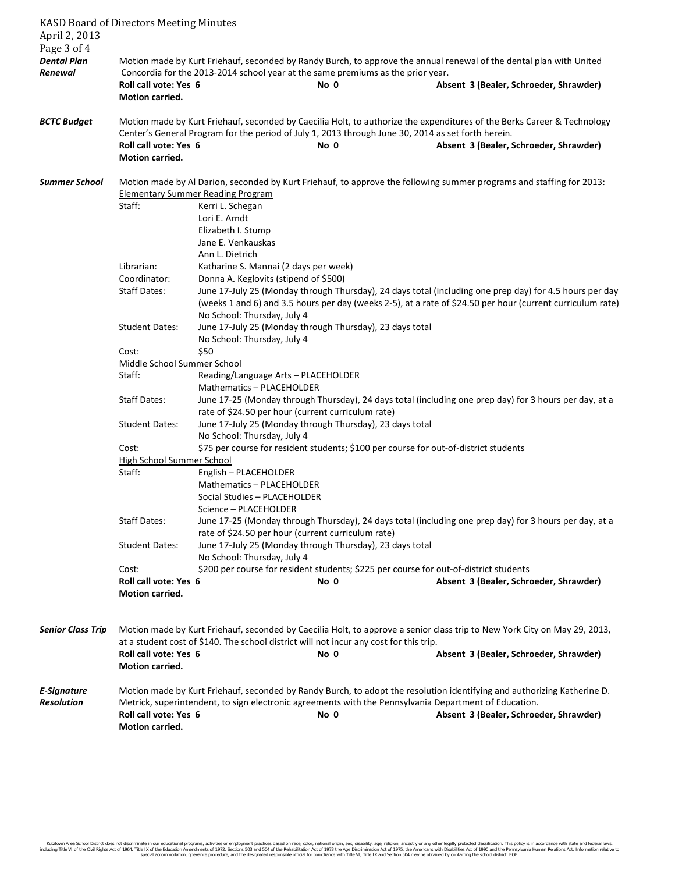| April 2, 2013<br>Page 3 of 4     | <b>KASD Board of Directors Meeting Minutes</b>                                                                                                                                                                                                                                                                              |                                                                                                                                                                                                                                                                |      |                                                                                                                                                                     |  |  |
|----------------------------------|-----------------------------------------------------------------------------------------------------------------------------------------------------------------------------------------------------------------------------------------------------------------------------------------------------------------------------|----------------------------------------------------------------------------------------------------------------------------------------------------------------------------------------------------------------------------------------------------------------|------|---------------------------------------------------------------------------------------------------------------------------------------------------------------------|--|--|
| <b>Dental Plan</b><br>Renewal    | Roll call vote: Yes 6<br>Motion carried.                                                                                                                                                                                                                                                                                    | Concordia for the 2013-2014 school year at the same premiums as the prior year.                                                                                                                                                                                | No 0 | Motion made by Kurt Friehauf, seconded by Randy Burch, to approve the annual renewal of the dental plan with United<br>Absent 3 (Bealer, Schroeder, Shrawder)       |  |  |
|                                  |                                                                                                                                                                                                                                                                                                                             |                                                                                                                                                                                                                                                                |      |                                                                                                                                                                     |  |  |
| <b>BCTC Budget</b>               | Motion made by Kurt Friehauf, seconded by Caecilia Holt, to authorize the expenditures of the Berks Career & Technology<br>Center's General Program for the period of July 1, 2013 through June 30, 2014 as set forth herein.<br>Roll call vote: Yes 6<br>No 0<br>Absent 3 (Bealer, Schroeder, Shrawder)<br>Motion carried. |                                                                                                                                                                                                                                                                |      |                                                                                                                                                                     |  |  |
| <b>Summer School</b>             | Motion made by Al Darion, seconded by Kurt Friehauf, to approve the following summer programs and staffing for 2013:<br><b>Elementary Summer Reading Program</b>                                                                                                                                                            |                                                                                                                                                                                                                                                                |      |                                                                                                                                                                     |  |  |
|                                  | Staff:                                                                                                                                                                                                                                                                                                                      | Kerri L. Schegan<br>Lori E. Arndt<br>Elizabeth I. Stump<br>Jane E. Venkauskas                                                                                                                                                                                  |      |                                                                                                                                                                     |  |  |
|                                  | Librarian:<br>Coordinator:                                                                                                                                                                                                                                                                                                  | Ann L. Dietrich<br>Katharine S. Mannai (2 days per week)                                                                                                                                                                                                       |      |                                                                                                                                                                     |  |  |
|                                  | <b>Staff Dates:</b>                                                                                                                                                                                                                                                                                                         | Donna A. Keglovits (stipend of \$500)<br>June 17-July 25 (Monday through Thursday), 24 days total (including one prep day) for 4.5 hours per day<br>(weeks 1 and 6) and 3.5 hours per day (weeks 2-5), at a rate of \$24.50 per hour (current curriculum rate) |      |                                                                                                                                                                     |  |  |
|                                  | <b>Student Dates:</b>                                                                                                                                                                                                                                                                                                       | No School: Thursday, July 4<br>June 17-July 25 (Monday through Thursday), 23 days total<br>No School: Thursday, July 4                                                                                                                                         |      |                                                                                                                                                                     |  |  |
|                                  | \$50<br>Cost:<br>Middle School Summer School                                                                                                                                                                                                                                                                                |                                                                                                                                                                                                                                                                |      |                                                                                                                                                                     |  |  |
|                                  | Staff:                                                                                                                                                                                                                                                                                                                      | Reading/Language Arts - PLACEHOLDER<br>Mathematics - PLACEHOLDER                                                                                                                                                                                               |      |                                                                                                                                                                     |  |  |
|                                  | <b>Staff Dates:</b>                                                                                                                                                                                                                                                                                                         | rate of \$24.50 per hour (current curriculum rate)                                                                                                                                                                                                             |      | June 17-25 (Monday through Thursday), 24 days total (including one prep day) for 3 hours per day, at a                                                              |  |  |
|                                  | <b>Student Dates:</b>                                                                                                                                                                                                                                                                                                       | June 17-July 25 (Monday through Thursday), 23 days total<br>No School: Thursday, July 4                                                                                                                                                                        |      |                                                                                                                                                                     |  |  |
|                                  | \$75 per course for resident students; \$100 per course for out-of-district students<br>Cost:                                                                                                                                                                                                                               |                                                                                                                                                                                                                                                                |      |                                                                                                                                                                     |  |  |
|                                  | High School Summer School                                                                                                                                                                                                                                                                                                   |                                                                                                                                                                                                                                                                |      |                                                                                                                                                                     |  |  |
|                                  | Staff:                                                                                                                                                                                                                                                                                                                      | English - PLACEHOLDER<br>Mathematics - PLACEHOLDER<br>Social Studies - PLACEHOLDER<br>Science - PLACEHOLDER                                                                                                                                                    |      |                                                                                                                                                                     |  |  |
|                                  | <b>Staff Dates:</b>                                                                                                                                                                                                                                                                                                         | rate of \$24.50 per hour (current curriculum rate)                                                                                                                                                                                                             |      | June 17-25 (Monday through Thursday), 24 days total (including one prep day) for 3 hours per day, at a                                                              |  |  |
|                                  | <b>Student Dates:</b>                                                                                                                                                                                                                                                                                                       | June 17-July 25 (Monday through Thursday), 23 days total<br>No School: Thursday, July 4                                                                                                                                                                        |      |                                                                                                                                                                     |  |  |
|                                  | Cost:<br>Roll call vote: Yes 6<br><b>Motion carried.</b>                                                                                                                                                                                                                                                                    | \$200 per course for resident students; \$225 per course for out-of-district students                                                                                                                                                                          | No 0 | Absent 3 (Bealer, Schroeder, Shrawder)                                                                                                                              |  |  |
| <b>Senior Class Trip</b>         | Roll call vote: Yes 6                                                                                                                                                                                                                                                                                                       | at a student cost of \$140. The school district will not incur any cost for this trip.                                                                                                                                                                         | No 0 | Motion made by Kurt Friehauf, seconded by Caecilia Holt, to approve a senior class trip to New York City on May 29, 2013,<br>Absent 3 (Bealer, Schroeder, Shrawder) |  |  |
|                                  | <b>Motion carried.</b>                                                                                                                                                                                                                                                                                                      |                                                                                                                                                                                                                                                                |      |                                                                                                                                                                     |  |  |
| E-Signature<br><b>Resolution</b> | Roll call vote: Yes 6<br>Motion carried.                                                                                                                                                                                                                                                                                    | Metrick, superintendent, to sign electronic agreements with the Pennsylvania Department of Education.                                                                                                                                                          | No 0 | Motion made by Kurt Friehauf, seconded by Randy Burch, to adopt the resolution identifying and authorizing Katherine D.<br>Absent 3 (Bealer, Schroeder, Shrawder)   |  |  |